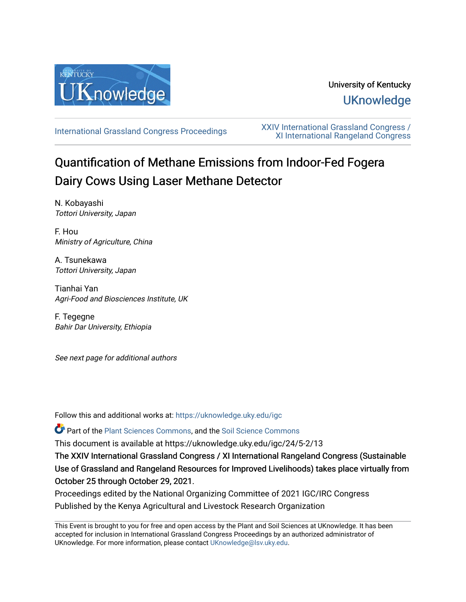

# University of Kentucky **UKnowledge**

[International Grassland Congress Proceedings](https://uknowledge.uky.edu/igc) [XXIV International Grassland Congress /](https://uknowledge.uky.edu/igc/24)  [XI International Rangeland Congress](https://uknowledge.uky.edu/igc/24) 

# Quantification of Methane Emissions from Indoor-Fed Fogera Dairy Cows Using Laser Methane Detector

N. Kobayashi Tottori University, Japan

F. Hou Ministry of Agriculture, China

A. Tsunekawa Tottori University, Japan

Tianhai Yan Agri-Food and Biosciences Institute, UK

F. Tegegne Bahir Dar University, Ethiopia

See next page for additional authors

Follow this and additional works at: [https://uknowledge.uky.edu/igc](https://uknowledge.uky.edu/igc?utm_source=uknowledge.uky.edu%2Figc%2F24%2F5-2%2F13&utm_medium=PDF&utm_campaign=PDFCoverPages) 

Part of the [Plant Sciences Commons](http://network.bepress.com/hgg/discipline/102?utm_source=uknowledge.uky.edu%2Figc%2F24%2F5-2%2F13&utm_medium=PDF&utm_campaign=PDFCoverPages), and the [Soil Science Commons](http://network.bepress.com/hgg/discipline/163?utm_source=uknowledge.uky.edu%2Figc%2F24%2F5-2%2F13&utm_medium=PDF&utm_campaign=PDFCoverPages) 

This document is available at https://uknowledge.uky.edu/igc/24/5-2/13

The XXIV International Grassland Congress / XI International Rangeland Congress (Sustainable Use of Grassland and Rangeland Resources for Improved Livelihoods) takes place virtually from October 25 through October 29, 2021.

Proceedings edited by the National Organizing Committee of 2021 IGC/IRC Congress Published by the Kenya Agricultural and Livestock Research Organization

This Event is brought to you for free and open access by the Plant and Soil Sciences at UKnowledge. It has been accepted for inclusion in International Grassland Congress Proceedings by an authorized administrator of UKnowledge. For more information, please contact [UKnowledge@lsv.uky.edu](mailto:UKnowledge@lsv.uky.edu).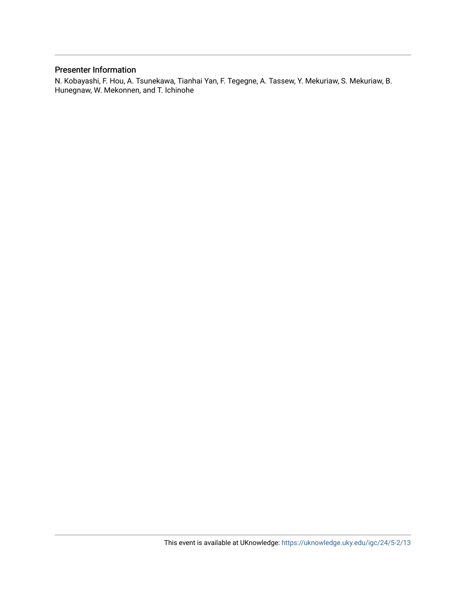# Presenter Information

N. Kobayashi, F. Hou, A. Tsunekawa, Tianhai Yan, F. Tegegne, A. Tassew, Y. Mekuriaw, S. Mekuriaw, B. Hunegnaw, W. Mekonnen, and T. Ichinohe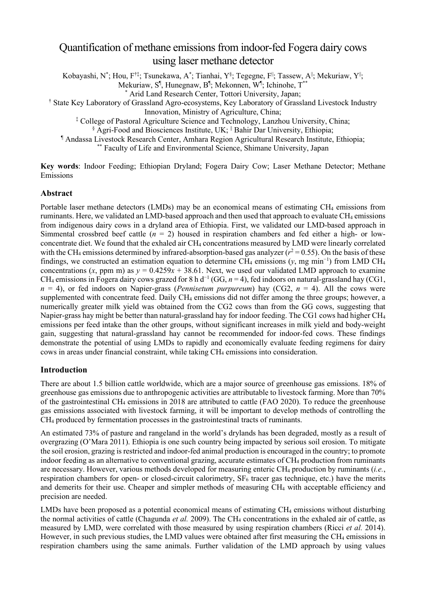# Quantification of methane emissions from indoor-fed Fogera dairy cows using laser methane detector

Kobayashi, N $^*$ ; Hou, F $^{\dagger\ddagger}$ ; Tsunekawa, A $^*$ ; Tianhai, Y $^{\S}$ ; Tegegne, F $^{\parallel}$ ; Tassew, A $^{\parallel}$ ; Mekuriaw, Y $^{\parallel}$ ;

Mekuriaw, S<sup>q</sup>, Hunegnaw, B<sup>q</sup>; Mekonnen, W<sup>q</sup>; Ichinohe, T<sup>\*\*</sup>

\* Arid Land Research Center, Tottori University, Japan;

† State Key Laboratory of Grassland Agro-ecosystems, Key Laboratory of Grassland Livestock Industry

Innovation, Ministry of Agriculture, China;

‡ College of Pastoral Agriculture Science and Technology, Lanzhou University, China;

§ Agri-Food and Biosciences Institute, UK; <sup>||</sup> Bahir Dar University, Ethiopia;

¶ Andassa Livestock Research Center, Amhara Region Agricultural Research Institute, Ethiopia;

\*\* Faculty of Life and Environmental Science, Shimane University, Japan

**Key words**: Indoor Feeding; Ethiopian Dryland; Fogera Dairy Cow; Laser Methane Detector; Methane Emissions

# **Abstract**

Portable laser methane detectors (LMDs) may be an economical means of estimating CH<sub>4</sub> emissions from ruminants. Here, we validated an LMD-based approach and then used that approach to evaluate CH<sub>4</sub> emissions from indigenous dairy cows in a dryland area of Ethiopia. First, we validated our LMD-based approach in Simmental crossbred beef cattle  $(n = 2)$  housed in respiration chambers and fed either a high- or lowconcentrate diet. We found that the exhaled air CH4 concentrations measured by LMD were linearly correlated with the CH<sub>4</sub> emissions determined by infrared-absorption-based gas analyzer ( $r^2$  = 0.55). On the basis of these findings, we constructed an estimation equation to determine CH<sub>4</sub> emissions (*y*, mg min<sup>-1</sup>) from LMD CH<sub>4</sub> concentrations  $(x, \text{ ppm m})$  as  $y = 0.4259x + 38.61$ . Next, we used our validated LMD approach to examine CH4 emissions in Fogera dairy cows grazed for 8 h d<sup>−</sup><sup>1</sup> (GG, *n* = 4), fed indoors on natural-grassland hay (CG1,  $n = 4$ ), or fed indoors on Napier-grass (*Pennisetum purpureum*) hay (CG2,  $n = 4$ ). All the cows were supplemented with concentrate feed. Daily CH4 emissions did not differ among the three groups; however, a numerically greater milk yield was obtained from the CG2 cows than from the GG cows, suggesting that Napier-grass hay might be better than natural-grassland hay for indoor feeding. The CG1 cows had higher CH4 emissions per feed intake than the other groups, without significant increases in milk yield and body-weight gain, suggesting that natural-grassland hay cannot be recommended for indoor-fed cows. These findings demonstrate the potential of using LMDs to rapidly and economically evaluate feeding regimens for dairy cows in areas under financial constraint, while taking CH4 emissions into consideration.

# **Introduction**

There are about 1.5 billion cattle worldwide, which are a major source of greenhouse gas emissions. 18% of greenhouse gas emissions due to anthropogenic activities are attributable to livestock farming. More than 70% of the gastrointestinal CH4 emissions in 2018 are attributed to cattle (FAO 2020). To reduce the greenhouse gas emissions associated with livestock farming, it will be important to develop methods of controlling the CH4 produced by fermentation processes in the gastrointestinal tracts of ruminants.

An estimated 73% of pasture and rangeland in the world's drylands has been degraded, mostly as a result of overgrazing (O'Mara 2011). Ethiopia is one such country being impacted by serious soil erosion. To mitigate the soil erosion, grazing is restricted and indoor-fed animal production is encouraged in the country; to promote indoor feeding as an alternative to conventional grazing, accurate estimates of CH4 production from ruminants are necessary. However, various methods developed for measuring enteric CH4 production by ruminants (*i.e.*, respiration chambers for open- or closed-circuit calorimetry,  $SF<sub>6</sub>$  tracer gas technique, etc.) have the merits and demerits for their use. Cheaper and simpler methods of measuring CH4 with acceptable efficiency and precision are needed.

LMDs have been proposed as a potential economical means of estimating  $CH_4$  emissions without disturbing the normal activities of cattle (Chagunda *et al.* 2009). The CH<sub>4</sub> concentrations in the exhaled air of cattle, as measured by LMD, were correlated with those measured by using respiration chambers (Ricci *et al.* 2014). However, in such previous studies, the LMD values were obtained after first measuring the CH<sub>4</sub> emissions in respiration chambers using the same animals. Further validation of the LMD approach by using values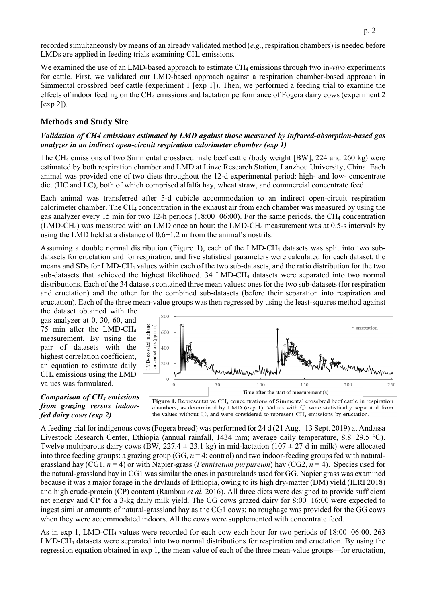recorded simultaneously by means of an already validated method (*e.g.*, respiration chambers) is needed before LMDs are applied in feeding trials examining CH<sub>4</sub> emissions.

We examined the use of an LMD-based approach to estimate CH<sub>4</sub> emissions through two in-*vivo* experiments for cattle. First, we validated our LMD-based approach against a respiration chamber-based approach in Simmental crossbred beef cattle (experiment 1 [exp 1]). Then, we performed a feeding trial to examine the effects of indoor feeding on the CH4 emissions and lactation performance of Fogera dairy cows (experiment 2 [exp 2]).

# **Methods and Study Site**

# *Validation of CH4 emissions estimated by LMD against those measured by infrared-absorption-based gas analyzer in an indirect open-circuit respiration calorimeter chamber (exp 1)*

The CH4 emissions of two Simmental crossbred male beef cattle (body weight [BW], 224 and 260 kg) were estimated by both respiration chamber and LMD at Linze Research Station, Lanzhou University, China. Each animal was provided one of two diets throughout the 12-d experimental period: high- and low- concentrate diet (HC and LC), both of which comprised alfalfa hay, wheat straw, and commercial concentrate feed.

Each animal was transferred after 5-d cubicle accommodation to an indirect open-circuit respiration calorimeter chamber. The CH4 concentration in the exhaust air from each chamber was measured by using the gas analyzer every 15 min for two 12-h periods (18:00−06:00). For the same periods, the CH4 concentration (LMD-CH4) was measured with an LMD once an hour; the LMD-CH4 measurement was at 0.5-s intervals by using the LMD held at a distance of 0.6−1.2 m from the animal's nostrils.

Assuming a double normal distribution (Figure 1), each of the LMD-CH4 datasets was split into two subdatasets for eructation and for respiration, and five statistical parameters were calculated for each dataset: the means and SDs for LMD-CH4 values within each of the two sub-datasets, and the ratio distribution for the two sub-datasets that achieved the highest likelihood. 34 LMD-CH4 datasets were separated into two normal distributions. Each of the 34 datasets contained three mean values: ones for the two sub-datasets (for respiration and eructation) and the other for the combined sub-datasets (before their separation into respiration and eructation). Each of the three mean-value groups was then regressed by using the least-squares method against

the dataset obtained with the gas analyzer at 0, 30, 60, and 75 min after the LMD-CH4 measurement. By using the pair of datasets with the highest correlation coefficient, an equation to estimate daily CH4 emissions using the LMD values was formulated.

#### *Comparison of CH4 emissions from grazing versus indoorfed dairy cows (exp 2)*



chambers, as determined by LMD (exp 1). Values with  $\bigcirc$  were statistically separated from the values without  $\bigcirc$ , and were considered to represent CH<sub>4</sub> emissions by eructation.

A feeding trial for indigenous cows (Fogera breed) was performed for 24 d (21 Aug.−13 Sept. 2019) at Andassa Livestock Research Center, Ethiopia (annual rainfall, 1434 mm; average daily temperature, 8.8−29.5 °C). Twelve multiparous dairy cows (BW, 227.4  $\pm$  23.1 kg) in mid-lactation (107  $\pm$  27 d in milk) were allocated into three feeding groups: a grazing group (GG, *n* = 4; control) and two indoor-feeding groups fed with naturalgrassland hay (CG1, *n* = 4) or with Napier-grass (*Pennisetum purpureum*) hay (CG2, *n* = 4). Species used for the natural-grassland hay in CG1 was similar the ones in pasturelands used for GG. Napier grass was examined because it was a major forage in the drylands of Ethiopia, owing to its high dry-matter (DM) yield (ILRI 2018) and high crude-protein (CP) content (Rambau *et al.* 2016). All three diets were designed to provide sufficient net energy and CP for a 3-kg daily milk yield. The GG cows grazed dairy for 8:00−16:00 were expected to ingest similar amounts of natural-grassland hay as the CG1 cows; no roughage was provided for the GG cows when they were accommodated indoors. All the cows were supplemented with concentrate feed.

As in exp 1, LMD-CH4 values were recorded for each cow each hour for two periods of 18:00−06:00. 263 LMD-CH4 datasets were separated into two normal distributions for respiration and eructation. By using the regression equation obtained in exp 1, the mean value of each of the three mean-value groups—for eructation,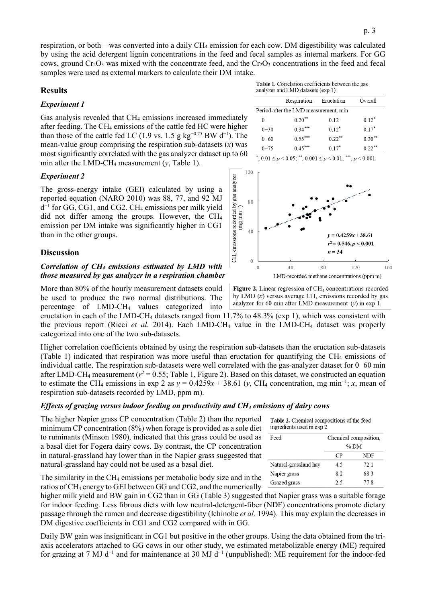respiration, or both—was converted into a daily CH4 emission for each cow. DM digestibility was calculated by using the acid detergent lignin concentrations in the feed and fecal samples as internal markers. For GG cows, ground Cr<sub>2</sub>O<sub>3</sub> was mixed with the concentrate feed, and the Cr<sub>2</sub>O<sub>3</sub> concentrations in the feed and fecal samples were used as external markers to calculate their DM intake.

# **Results**

#### *Experiment 1*

Gas analysis revealed that CH<sub>4</sub> emissions increased immediately after feeding. The CH4 emissions of the cattle fed HC were higher than those of the cattle fed LC (1.9 vs. 1.5 g  $kg^{-0.75}$  BW d<sup>-1</sup>). The mean-value group comprising the respiration sub-datasets  $(x)$  was most significantly correlated with the gas analyzer dataset up to 60 min after the LMD-CH4 measurement (*y*, Table 1).

#### *Experiment 2*

The gross-energy intake (GEI) calculated by using a reported equation (NARO 2010) was 88, 77, and 92 MJ d<sup>−</sup><sup>1</sup> for GG, CG1, and CG2. CH4 emissions per milk yield did not differ among the groups. However, the CH4 emission per DM intake was significantly higher in CG1 than in the other groups.

#### **Discussion**

# *Correlation of CH4 emissions estimated by LMD with those measured by gas analyzer in a respiration chamber*

More than 80% of the hourly measurement datasets could be used to produce the two normal distributions. The percentage of LMD-CH4 values categorized into

eructation in each of the LMD-CH4 datasets ranged from 11.7% to 48.3% (exp 1), which was consistent with the previous report (Ricci *et al.* 2014). Each LMD-CH4 value in the LMD-CH4 dataset was properly categorized into one of the two sub-datasets.

Higher correlation coefficients obtained by using the respiration sub-datasets than the eructation sub-datasets (Table 1) indicated that respiration was more useful than eructation for quantifying the CH4 emissions of individual cattle. The respiration sub-datasets were well correlated with the gas-analyzer dataset for 0−60 min after LMD-CH<sub>4</sub> measurement ( $r^2$  = 0.55; Table 1, Figure 2). Based on this dataset, we constructed an equation to estimate the CH<sub>4</sub> emissions in exp 2 as  $y = 0.4259x + 38.61$  (*y*, CH<sub>4</sub> concentration, mg min<sup>-1</sup>; *x*, mean of respiration sub-datasets recorded by LMD, ppm m).

#### *Effects of grazing versus indoor feeding on productivity and CH4 emissions of dairy cows*

The higher Napier grass CP concentration (Table 2) than the reported minimum CP concentration (8%) when forage is provided as a sole diet to ruminants (Minson 1980), indicated that this grass could be used as a basal diet for Fogera dairy cows. By contrast, the CP concentration in natural-grassland hay lower than in the Napier grass suggested that natural-grassland hay could not be used as a basal diet.

The similarity in the CH4 emissions per metabolic body size and in the ratios of CH4 energy to GEI between GG and CG2, and the numerically

higher milk yield and BW gain in CG2 than in GG (Table 3) suggested that Napier grass was a suitable forage for indoor feeding. Less fibrous diets with low neutral-detergent-fiber (NDF) concentrations promote dietary passage through the rumen and decrease digestibility (Ichinohe *et al.* 1994). This may explain the decreases in DM digestive coefficients in CG1 and CG2 compared with in GG.

Daily BW gain was insignificant in CG1 but positive in the other groups. Using the data obtained from the triaxis accelerators attached to GG cows in our other study, we estimated metabolizable energy (ME) required for grazing at 7 MJ d<sup>-1</sup> and for maintenance at 30 MJ d<sup>-1</sup> (unpublished): ME requirement for the indoor-fed

Table 1. Correlation coefficients between the gas analyzer and LMD datasets (exp 1)

|                                       | Respiration | Eructation | Overall   |  |  |  |
|---------------------------------------|-------------|------------|-----------|--|--|--|
| Period after the LMD measurement, min |             |            |           |  |  |  |
| 0                                     | $0.20***$   | 0.12       | $0.12*$   |  |  |  |
| $0 - 30$                              | $0.34***$   | $0.12*$    | $0.17*$   |  |  |  |
| $0 - 60$                              | $0.55***$   | $0.22***$  | $0.30**$  |  |  |  |
| $0 - 75$                              | $0.45***$   | $0.17*$    | $0.22***$ |  |  |  |
|                                       |             |            |           |  |  |  |





Figure 2. Linear regression of  $\text{CH}_4$  concentrations recorded by LMD  $(x)$  versus average CH<sub>4</sub> emissions recorded by gas analyzer for 60 min after LMD measurement  $(y)$  in exp 1.

| ingredients used in exp 2 |                       |            |  |  |  |
|---------------------------|-----------------------|------------|--|--|--|
| Feed                      | Chemical composition, |            |  |  |  |
|                           | $\%$ DM               |            |  |  |  |
|                           | CР                    | <b>NDF</b> |  |  |  |
| Natural-grassland hay     | 4.5                   | 72.1       |  |  |  |
| Napier grass              | 8.2                   | 68.3       |  |  |  |
| Grazed grass              | 2.5                   | 77.8       |  |  |  |

Table 2. Chemical compositions of the feed